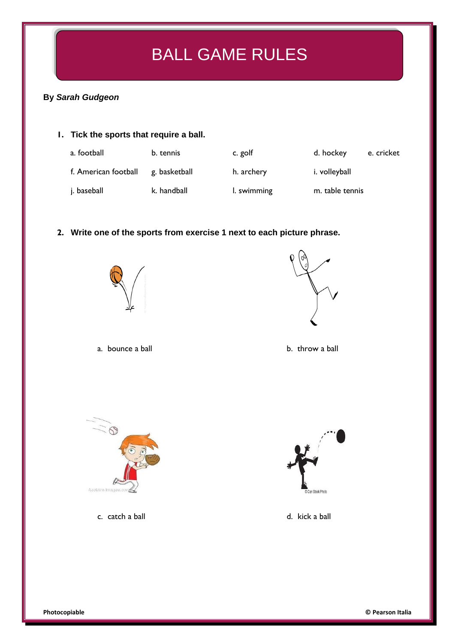# BALL GAME RULES

### **By** *Sarah Gudgeon*

## **1. Tick the sports that require a ball.**

| a. football          | b. tennis     | c. golf     | d. hockey       | e. cricket |
|----------------------|---------------|-------------|-----------------|------------|
| f. American football | g. basketball | h. archery  | i. volleyball   |            |
| j. baseball          | k. handball   | I. swimming | m. table tennis |            |

#### **2. Write one of the sports from exercise 1 next to each picture phrase.**





a. bounce a ball b. throw a ball



c. catch a ball d. kick a ball d. kick a ball

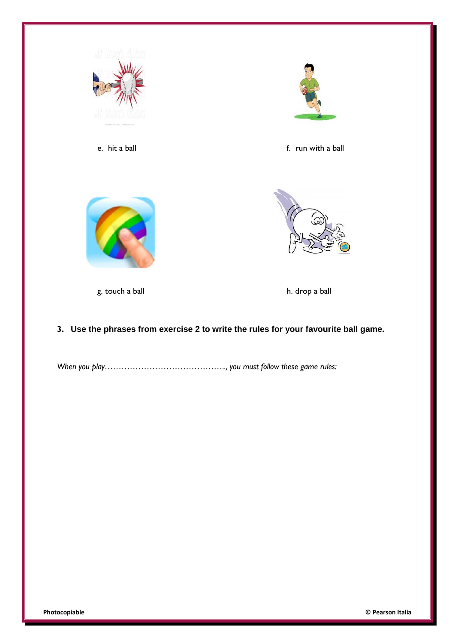

## **3. Use the phrases from exercise 2 to write the rules for your favourite ball game.**

*When you play…………………………………….., you must follow these game rules:*